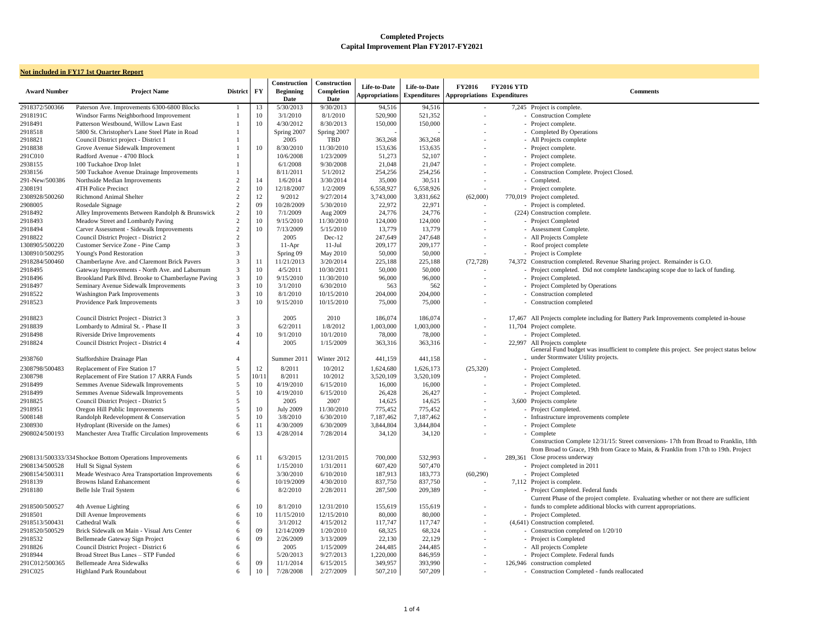| <b>Not included in FY17 1st Quarter Report</b> |                                                           |                 |                        |                                                 |                                           |                                       |                                     |                                                     |                   |                                                                                  |  |  |
|------------------------------------------------|-----------------------------------------------------------|-----------------|------------------------|-------------------------------------------------|-------------------------------------------|---------------------------------------|-------------------------------------|-----------------------------------------------------|-------------------|----------------------------------------------------------------------------------|--|--|
| <b>Award Number</b>                            | <b>Project Name</b>                                       | <b>District</b> | $\mathbf{F}\mathbf{Y}$ | Construction<br><b>Beginning</b><br><b>Date</b> | Construction<br>Completion<br><b>Date</b> | Life-to-Date<br><b>Appropriations</b> | Life-to-Date<br><b>Expenditures</b> | <b>FY2016</b><br><b>Appropriations Expenditures</b> | <b>FY2016 YTD</b> | <b>Comments</b>                                                                  |  |  |
| 2918372/500366                                 | Paterson Ave. Improvements 6300-6800 Blocks               |                 | 13                     | 5/30/2013                                       | 9/30/2013                                 | 94,516                                | 94,516                              |                                                     |                   | 7,245 Project is complete.                                                       |  |  |
| 2918191C                                       | Windsor Farms Neighborhood Improvement                    |                 | 10                     | 3/1/2010                                        | 8/1/2010                                  | 520,900                               | 521,352                             |                                                     |                   | - Construction Complete                                                          |  |  |
| 2918491                                        | Patterson Westbound, Willow Lawn East                     |                 | 10                     | 4/30/2012                                       | 8/30/2013                                 | 150,000                               | 150,000                             |                                                     |                   | - Project complete.                                                              |  |  |
| 2918518                                        | 5800 St. Christopher's Lane Steel Plate in Road           |                 |                        | Spring 2007                                     | Spring 2007                               |                                       |                                     |                                                     |                   | - Completed By Operations                                                        |  |  |
| 2918821                                        | Council District project - District 1                     |                 |                        | 2005                                            | <b>TBD</b>                                | 363,268                               | 363,268                             | $\overline{\phantom{a}}$                            |                   | - All Projects complete                                                          |  |  |
| 2918838                                        | Grove Avenue Sidewalk Improvement                         |                 | 10                     | 8/30/2010                                       | 11/30/2010                                | 153,636                               | 153,635                             |                                                     |                   | - Project complete.                                                              |  |  |
| 291C010                                        | Radford Avenue - 4700 Block                               |                 |                        | 10/6/2008                                       | 1/23/2009                                 | 51,273                                | 52,107                              | $\sim$                                              |                   | - Project complete.                                                              |  |  |
| 2938155                                        | 100 Tuckahoe Drop Inlet                                   |                 |                        | 6/1/2008                                        | 9/30/2008                                 | 21,048                                | 21,047                              | $\sim$                                              |                   | - Project complete.                                                              |  |  |
| 2938156                                        | 500 Tuckahoe Avenue Drainage Improvements                 |                 |                        | 8/11/2011                                       | 5/1/2012                                  | 254,256                               | 254,256                             |                                                     |                   | - Construction Complete. Project Closed.                                         |  |  |
| 291-New/500386                                 | Northside Median Improvements                             | $\overline{2}$  | 14                     | 1/6/2014                                        | 3/30/2014                                 | 35,000                                | 30,511                              |                                                     |                   | - Completed.                                                                     |  |  |
| 2308191                                        | 4TH Police Precinct                                       | $\overline{2}$  | 10                     | 12/18/2007                                      | 1/2/2009                                  | 6,558,927                             | 6,558,926                           |                                                     |                   | - Project complete.                                                              |  |  |
| 2308928/500260                                 | <b>Richmond Animal Shelter</b>                            | $\overline{2}$  | 12                     | 9/2012                                          | 9/27/2014                                 | 3,743,000                             | 3,831,662                           | (62,000)                                            |                   | 770,019 Project completed.                                                       |  |  |
| 2908005                                        | Rosedale Signage                                          | $\overline{2}$  | 09                     | 10/28/2009                                      | 5/30/2010                                 | 22,972                                | 22,971                              | $\sim$                                              |                   | - Project is completed.                                                          |  |  |
| 2918492                                        | Alley Improvements Between Randolph & Brunswick           | $\overline{2}$  | 10                     | 7/1/2009                                        | Aug 2009                                  | 24,776                                | 24,776                              |                                                     |                   | (224) Construction complete.                                                     |  |  |
| 2918493                                        | Meadow Street and Lombardy Paving                         | $\overline{2}$  | 10                     | 9/15/2010                                       | 11/30/2010                                | 124,000                               | 124,000                             |                                                     |                   | - Project Completed                                                              |  |  |
| 2918494                                        | Carver Assessment - Sidewalk Improvements                 | $\overline{2}$  | 10                     | 7/13/2009                                       | 5/15/2010                                 | 13,779                                | 13,779                              |                                                     |                   | - Assessment Complete.                                                           |  |  |
| 2918822                                        | Council District Project - District 2                     | $\overline{2}$  |                        | 2005                                            | Dec-12                                    | 247,649                               | 247,648                             |                                                     |                   | - All Projects Complete                                                          |  |  |
| 1308905/500220                                 | Customer Service Zone - Pine Camp                         | 3               |                        | $11-Apr$                                        | $11-Jul$                                  | 209,177                               | 209,177                             |                                                     |                   | - Roof project complete                                                          |  |  |
| 1308910/500295                                 | Young's Pond Restoration                                  | 3               |                        | Spring 09                                       | May 2010                                  | 50,000                                | 50,000                              |                                                     |                   | - Project is Complete                                                            |  |  |
| 2918284/500460                                 | Chamberlayne Ave. and Claremont Brick Pavers              | 3               | 11                     | 11/21/2013                                      | 3/20/2014                                 | 225,188                               | 225,188                             | (72, 728)                                           |                   | 74,372 Construction completed. Revenue Sharing project                           |  |  |
| 2918495                                        | Gateway Improvements - North Ave. and Laburnum            | 3               | 10                     | 4/5/2011                                        | 10/30/2011                                | 50,000                                | 50,000                              | $\sim$                                              |                   | - Project completed. Did not complete landscaping                                |  |  |
| 2918496                                        | Brookland Park Blvd. Brooke to Chamberlayne Paving        | 3               | 10                     | 9/15/2010                                       | 11/30/2010                                | 96,000                                | 96,000                              |                                                     |                   | - Project Completed.                                                             |  |  |
| 2918497                                        | Seminary Avenue Sidewalk Improvements                     | 3               | 10                     | 3/1/2010                                        | 6/30/2010                                 | 563                                   | 562                                 |                                                     |                   | - Project Completed by Operations                                                |  |  |
| 2918522                                        | <b>Washington Park Improvements</b>                       | 3               | 10                     | 8/1/2010                                        | 10/15/2010                                | 204,000                               | 204,000                             | $\sim$                                              |                   | - Construction completed                                                         |  |  |
| 2918523                                        | Providence Park Improvements                              | 3               | 10                     | 9/15/2010                                       | 10/15/2010                                | 75,000                                | 75,000                              |                                                     |                   | - Construction completed                                                         |  |  |
| 2918823                                        | Council District Project - District 3                     | 3               |                        | 2005                                            | 2010                                      | 186,074                               | 186,074                             | $\overline{\phantom{a}}$                            |                   | 17,467 All Projects complete including for Battery Park I                        |  |  |
| 2918839                                        | Lombardy to Admiral St. - Phase II                        | 3               |                        | 6/2/2011                                        | 1/8/2012                                  | 1,003,000                             | 1,003,000                           | $\sim$                                              |                   | 11,704 Project complete.                                                         |  |  |
| 2918498                                        | Riverside Drive Improvements                              |                 | 10                     | 9/1/2010                                        | 10/1/2010                                 | 78,000                                | 78,000                              |                                                     |                   | - Project Completed.                                                             |  |  |
| 2918824                                        | Council District Project - District 4                     |                 |                        | 2005                                            | 1/15/2009                                 | 363,316                               | 363,316                             |                                                     |                   | 22,997 All Projects complete<br>General Fund budget was insufficient to complete |  |  |
| 2938760                                        | Staffordshire Drainage Plan                               |                 |                        | Summer 2011                                     | Winter 2012                               | 441,159                               | 441,158                             |                                                     |                   | - under Stormwater Utility projects.                                             |  |  |
| 2308798/500483                                 | Replacement of Fire Station 17                            |                 | 12                     | 8/2011                                          | 10/2012                                   | 1,624,680                             | 1,626,173                           | (25,320)                                            |                   | - Project Completed.                                                             |  |  |
| 2308798                                        | Replacement of Fire Station 17 ARRA Funds                 |                 | 10/11                  | 8/2011                                          | 10/2012                                   | 3,520,109                             | 3,520,109                           |                                                     |                   | - Project Completed.                                                             |  |  |
| 2918499                                        | Semmes Avenue Sidewalk Improvements                       | -5              | 10                     | 4/19/2010                                       | 6/15/2010                                 | 16,000                                | 16,000                              |                                                     |                   | - Project Completed.                                                             |  |  |
| 2918499                                        | Semmes Avenue Sidewalk Improvements                       |                 | 10                     | 4/19/2010                                       | 6/15/2010                                 | 26,428                                | 26,427                              | $\overline{\phantom{a}}$                            |                   | - Project Completed.                                                             |  |  |
| 2918825                                        | Council District Project - District 5                     | 5               |                        | 2005                                            | 2007                                      | 14,625                                | 14,625                              | $\overline{\phantom{a}}$                            |                   | 3,600 Projects complete                                                          |  |  |
| 2918951                                        | Oregon Hill Public Improvements                           | 5               | 10                     | <b>July 2009</b>                                | 11/30/2010                                | 775,452                               | 775,452                             |                                                     |                   | - Project Completed.                                                             |  |  |
| 5008148                                        | Randolph Redevelopment & Conservation                     |                 | 10                     | 3/8/2010                                        | 6/30/2010                                 | 7,187,462                             | 7,187,462                           |                                                     |                   | - Infrastructure improvements complete                                           |  |  |
| 2308930                                        | Hydroplant (Riverside on the James)                       | 6               | 11                     | 4/30/2009                                       | 6/30/2009                                 | 3,844,804                             | 3,844,804                           |                                                     |                   | - Project Complete                                                               |  |  |
| 2908024/500193                                 | Manchester Area Traffic Circulation Improvements          | 6               | 13                     | 4/28/2014                                       | 7/28/2014                                 | 34,120                                | 34,120                              |                                                     |                   | - Complete<br>Construction Complete 12/31/15: Street conversion                  |  |  |
|                                                |                                                           |                 |                        |                                                 |                                           |                                       |                                     |                                                     |                   | from Broad to Grace, 19th from Grace to Main, &                                  |  |  |
|                                                | 2908131/500333/334 Shockoe Bottom Operations Improvements | -6              | 11                     | 6/3/2015                                        | 12/31/2015                                | 700,000                               | 532,993                             |                                                     |                   | 289,361 Close process underway                                                   |  |  |
| 2908134/500528                                 | Hull St Signal System                                     | 6               |                        | 1/15/2010                                       | 1/31/2011                                 | 607,420                               | 507,470                             |                                                     |                   | - Project completed in 2011                                                      |  |  |
| 2908154/500311                                 | Meade Westvaco Area Transportation Improvements           | 6               |                        | 3/30/2010                                       | 6/10/2010                                 | 187,913                               | 183,773                             | (60,290)                                            |                   | - Project Completed                                                              |  |  |
| 2918139                                        | <b>Browns Island Enhancement</b>                          | 6               |                        | 10/19/2009                                      | 4/30/2010                                 | 837,750                               | 837,750                             | $\sim$                                              |                   | 7,112 Project is complete.                                                       |  |  |
| 2918180                                        | Belle Isle Trail System                                   | 6               |                        | 8/2/2010                                        | 2/28/2011                                 | 287,500                               | 209,389                             |                                                     |                   | - Project Completed. Federal funds                                               |  |  |
|                                                |                                                           |                 |                        |                                                 |                                           |                                       |                                     |                                                     |                   | Current Phase of the project complete. Evaluating                                |  |  |
| 2918500/500527                                 | 4th Avenue Lighting                                       | 6               | 10                     | 8/1/2010                                        | 12/31/2010                                | 155,619                               | 155,619                             |                                                     |                   | - funds to complete additional blocks with current a                             |  |  |
| 2918501                                        | Dill Avenue Improvements                                  |                 | 10                     | 11/15/2010                                      | 12/15/2010                                | 80,000                                | 80,000                              |                                                     |                   | - Project Completed.                                                             |  |  |
| 2918513/500431                                 | Cathedral Walk                                            | 6               |                        | 3/1/2012                                        | 4/15/2012                                 | 117,747                               | 117,747                             | $\overline{\phantom{a}}$                            |                   | (4,641) Construction completed.                                                  |  |  |
| 2918520/500529                                 | Brick Sidewalk on Main - Visual Arts Center               |                 | 09                     | 12/14/2009                                      | 1/20/2010                                 | 68,325                                | 68,324                              |                                                     |                   | - Construction completed on 1/20/10                                              |  |  |
| 2918532                                        | Bellemeade Gateway Sign Project                           |                 | 09                     | 2/26/2009                                       | 3/13/2009                                 | 22,130                                | 22,129                              |                                                     |                   | - Project is Completed                                                           |  |  |
| 2918826                                        | Council District Project - District 6                     | 6               |                        | 2005                                            | 1/15/2009                                 | 244,485                               | 244,485                             |                                                     |                   | - All projects Complete                                                          |  |  |
| 2918944                                        | Broad Street Bus Lanes - STP Funded                       | 6               |                        | 5/20/2013                                       | 9/27/2013                                 | 1,220,000                             | 846,959                             |                                                     |                   | - Project Complete. Federal funds                                                |  |  |
| 291C012/500365                                 | <b>Bellemeade Area Sidewalks</b>                          |                 | 09                     | 11/1/2014                                       | 6/15/2015                                 | 349,957                               | 393,990                             | $\overline{\phantom{a}}$                            |                   | 126,946 construction completed                                                   |  |  |
| 291C025                                        | Highland Park Roundabout                                  | 6               | 10                     | 7/28/2008                                       | 2/27/2009                                 | 507,210                               | 507,209                             |                                                     |                   | - Construction Completed - funds reallocated                                     |  |  |

2038 Complete. Project Closed. ompleted. Revenue Sharing project. Remainder is G.O. ted. Did not complete landscaping scope due to lack of funding. mplete including for Battery Park Improvements completed in-house mplete<br>budget was insufficient to complete this project. See project status below uter Utility projects. 'omplete 12/31/15: Street conversions- 17th from Broad to Franklin, 18th Grace, 19th from Grace to Main, & Franklin from 17th to 19th. Project underway<br>tted in 2011 of the project complete. Evaluating whether or not there are sufficient ete additional blocks with current appropriations. 'ompleted - funds reallocated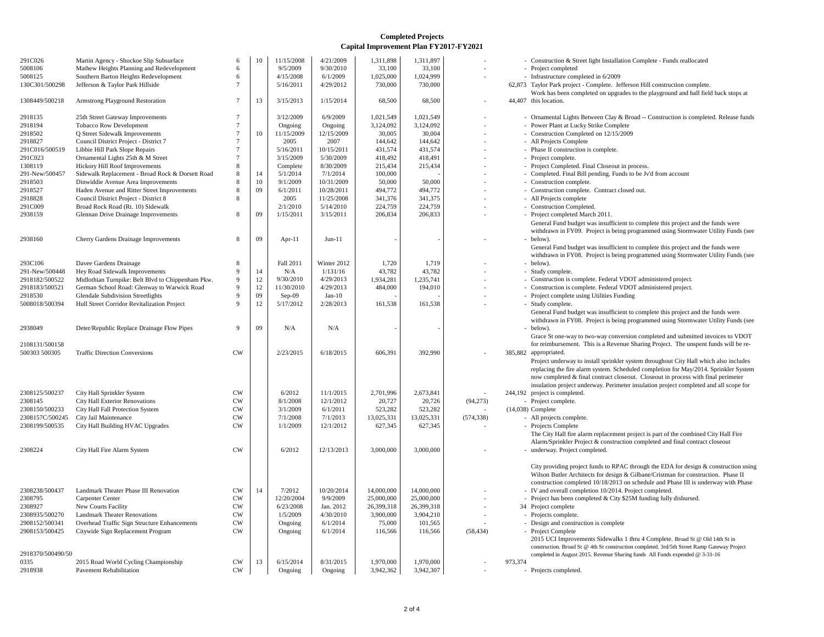| 291C026           | Martin Agency - Shockoe Slip Subsurface           | 6         | 10 | 11/15/2008 | 4/21/2009   | 1,311,898  | 1,311,897  |            | - Construction & Street light Installation (                                             |
|-------------------|---------------------------------------------------|-----------|----|------------|-------------|------------|------------|------------|------------------------------------------------------------------------------------------|
| 5008106           | Mathew Heights Planning and Redevelopment         | 6         |    | 9/5/2009   | 9/30/2010   | 33,100     | 33,100     |            | - Project completed                                                                      |
| 5008125           | Southern Barton Heights Redevelopment             | 6         |    | 4/15/2008  | 6/1/2009    | 1,025,000  | 1,024,999  |            | - Infrastructure completed in 6/2009                                                     |
| 130C301/500298    | Jefferson & Taylor Park Hillside                  |           |    | 5/16/2011  | 4/29/2012   | 730,000    | 730,000    |            | 62,873 Taylor Park project - Complete. Jefferso<br>Work has been completed on upgrades t |
| 1308449/500218    | Armstrong Playground Restoration                  | 7         | 13 | 3/15/2013  | 1/15/2014   | 68,500     | 68,500     |            | 44,407 this location.                                                                    |
| 2918135           | 25th Street Gateway Improvements                  |           |    | 3/12/2009  | 6/9/2009    | 1,021,549  | 1,021,549  |            | - Ornamental Lights Between Clay & Bro                                                   |
| 2918194           | <b>Tobacco Row Development</b>                    |           |    | Ongoing    | Ongoing     | 3,124,092  | 3,124,092  |            | Power Plant at Lucky Strike Complete                                                     |
| 2918502           | Q Street Sidewalk Improvements                    |           | 10 | 11/15/2009 | 12/15/2009  | 30,005     | 30,004     |            | Construction Completed on 12/15/2009                                                     |
| 2918827           | Council District Project - District 7             |           |    | 2005       | 2007        | 144,642    | 144,642    |            | - All Projects Complete                                                                  |
| 291C016/500519    | Libbie Hill Park Slope Repairs                    |           |    | 5/16/2011  | 10/15/2011  | 431,574    | 431,574    |            | Phase II construction is complete.                                                       |
| 291C023           | Ornamental Lights 25th & M Street                 |           |    | 3/15/2009  | 5/30/2009   | 418,492    | 418,491    |            | - Project complete.                                                                      |
| 1308119           | Hickory Hill Roof Improvements                    | 8         |    | Complete   | 8/30/2009   | 215,434    | 215,434    |            | - Project Completed. Final Closeout in pro                                               |
| 291-New/500457    | Sidewalk Replacement - Broad Rock & Dorsett Road  | 8         | 14 | 5/1/2014   | 7/1/2014    | 100,000    |            |            | Completed. Final Bill pending. Funds to                                                  |
| 2918503           | Dinwiddie Avenue Area Improvements                | 8         | 10 | 9/1/2009   | 10/31/2009  | 50,000     | 50,000     |            | Construction complete.                                                                   |
| 2918527           | Haden Avenue and Ritter Street Improvements       | 8         | 09 | 6/1/2011   | 10/28/2011  | 494,772    | 494,772    |            | Construction complete. Contract closed                                                   |
| 2918828           | Council District Project - District 8             | 8         |    | 2005       | 11/25/2008  | 341,376    | 341,375    |            | - All Projects complete                                                                  |
| 291C009           | Broad Rock Road (Rt. 10) Sidewalk                 |           |    | 2/1/2010   | 5/14/2010   | 224,759    | 224,759    |            | <b>Construction Completed.</b>                                                           |
| 2938159           | <b>Glennan Drive Drainage Improvements</b>        | 8         | 09 | 1/15/2011  | 3/15/2011   | 206,834    | 206,833    |            | - Project completed March 2011.                                                          |
|                   |                                                   |           |    |            |             |            |            |            | General Fund budget was insufficient to                                                  |
|                   |                                                   |           |    |            |             |            |            |            | withdrawn in FY09. Project is being pro                                                  |
| 2938160           | <b>Cherry Gardens Drainage Improvements</b>       | 8         | 09 | Apr- $11$  | $Jun-11$    |            |            |            | - below).                                                                                |
|                   |                                                   |           |    |            |             |            |            |            | General Fund budget was insufficient to<br>withdrawn in FY08. Project is being pro       |
| 293C106           | Davee Gardens Drainage                            | 8         |    | Fall 2011  | Winter 2012 | 1,720      | 1,719      |            | below).                                                                                  |
| 291-New/500448    | Hey Road Sidewalk Improvements                    | 9         | 14 | N/A        | 1/131/16    | 43,782     | 43,782     |            | - Study complete.                                                                        |
| 2918182/500522    | Midlothian Turnpike: Belt Blvd to Chippenham Pkw. | 9         | 12 | 9/30/2010  | 4/29/2013   | 1,934,281  | 1,235,741  |            | Construction is complete. Federal VDO'                                                   |
| 2918183/500521    | German School Road: Glenway to Warwick Road       | 9         | 12 | 11/30/2010 | 4/29/2013   | 484,000    | 194,010    |            | Construction is complete. Federal VDO'                                                   |
| 2918530           | <b>Glendale Subdivision Streetlights</b>          | 9         | 09 | $Sep-09$   | $Jan-10$    |            |            |            | - Project complete using Utilities Funding                                               |
| 5008018/500394    | Hull Street Corridor Revitalization Project       | 9         | 12 | 5/17/2012  | 2/28/2013   | 161,538    | 161,538    |            | - Study complete.                                                                        |
|                   |                                                   |           |    |            |             |            |            |            | General Fund budget was insufficient to                                                  |
|                   |                                                   |           |    |            |             |            |            |            | withdrawn in FY08. Project is being pro                                                  |
| 2938049           | Deter/Republic Replace Drainage Flow Pipes        | 9         | 09 | N/A        | N/A         |            |            |            | below).                                                                                  |
|                   |                                                   |           |    |            |             |            |            |            | Grace St one-way to two-way conversion                                                   |
| 2108131/500158    |                                                   |           |    |            |             |            |            |            | for reimbursement. This is a Revenue S                                                   |
| 500303 500305     | <b>Traffic Direction Conversions</b>              | <b>CW</b> |    | 2/23/2015  | 6/18/2015   | 606,391    | 392,990    |            | 385,882 appropriated.                                                                    |
|                   |                                                   |           |    |            |             |            |            |            | Project underway to install sprinkler syst                                               |
|                   |                                                   |           |    |            |             |            |            |            | replacing the fire alarm system. Schedul                                                 |
|                   |                                                   |           |    |            |             |            |            |            | now completed & final contract closeou                                                   |
|                   |                                                   |           |    |            |             |            |            |            | insulation project underway. Perimeter i                                                 |
| 2308125/500237    | City Hall Sprinkler System                        | <b>CW</b> |    | 6/2012     | 11/1/2015   | 2,701,996  | 2,673,841  |            | 244,192 project is completed.                                                            |
| 2308145           | <b>City Hall Exterior Renovations</b>             | <b>CW</b> |    | 8/1/2008   | 12/1/2012   | 20,727     | 20,726     | (94,273)   | - Project complete.                                                                      |
| 2308150/500233    | City Hall Fall Protection System                  | CW        |    | 3/1/2009   | 6/1/2011    | 523,282    | 523,282    |            | $(14,038)$ Complete                                                                      |
| 2308157C/500245   | City Jail Maintenance                             | <b>CW</b> |    | 7/1/2008   | 7/1/2013    | 13,025,331 | 13,025,331 | (574, 338) | - All projects complete.                                                                 |
| 2308199/500535    | City Hall Building HVAC Upgrades                  | <b>CW</b> |    | 1/1/2009   | 12/1/2012   | 627,345    | 627,345    |            | - Projects Complete                                                                      |
|                   |                                                   |           |    |            |             |            |            |            | The City Hall fire alarm replacement pro                                                 |
|                   |                                                   |           |    |            |             |            |            |            | Alarm/Sprinkler Project & construction                                                   |
| 2308224           | City Hall Fire Alarm System                       | <b>CW</b> |    | 6/2012     | 12/13/2013  | 3,000,000  | 3,000,000  |            | - underway. Project completed.                                                           |
|                   |                                                   |           |    |            |             |            |            |            | City providing project funds to RPAC th                                                  |
|                   |                                                   |           |    |            |             |            |            |            | Wilson Butler Architects for design & G                                                  |
|                   |                                                   |           |    |            |             |            |            |            | construction completed 10/18/2013 on s                                                   |
| 2308238/500437    | Landmark Theater Phase III Renovation             | <b>CW</b> | 14 | 7/2012     | 10/20/2014  | 14,000,000 | 14,000,000 |            | - IV and overall completion 10/2014. Proj                                                |
| 2308795           | Carpenter Center                                  | <b>CW</b> |    | 12/20/2004 | 9/9/2009    | 25,000,000 | 25,000,000 |            | - Project has been completed & City \$25N                                                |
| 2308927           | New Courts Facility                               | <b>CW</b> |    | 6/23/2008  | Jan. 2012   | 26,399,318 | 26,399,318 |            | 34 Project complete                                                                      |
| 2308935/500270    | <b>Landmark Theater Renovations</b>               | <b>CW</b> |    | 1/5/2009   | 4/30/2010   | 3,900,000  | 3,904,210  |            | - Projects complete.                                                                     |
| 2908152/500341    | Overhead Traffic Sign Structure Enhancements      | <b>CW</b> |    | Ongoing    | 6/1/2014    | 75,000     | 101,565    |            | Design and construction is complete                                                      |
| 2908153/500425    | Citywide Sign Replacement Program                 | CW        |    | Ongoing    | 6/1/2014    | 116,566    | 116,566    | (58, 434)  | - Project Complete                                                                       |
|                   |                                                   |           |    |            |             |            |            |            | 2015 UCI Improvements Sidewalks 1 th                                                     |
|                   |                                                   |           |    |            |             |            |            |            | construction. Broad St @ 4th St construction                                             |
| 2918370/500490/50 |                                                   |           |    |            |             |            |            |            | completed in August 2015. Revenue Sharing:                                               |
| 0335              | 2015 Road World Cycling Championship              | <b>CW</b> | 13 | 6/15/2014  | 8/31/2015   | 1,970,000  | 1,970,000  |            | 973,374                                                                                  |
| 2918938           | <b>Pavement Rehabilitation</b>                    | CW        |    | Ongoing    | Ongoing     | 3,942,362  | 3,942,307  |            | - Projects completed.                                                                    |

2 Street light Installation Complete - Funds reallocated 130 Toject - Complete. Jefferson Hill construction complete. completed on upgrades to the playground and ball field back stops at

ights Between Clay & Broad -- Construction is completed. Release funds leted. Final Closeout in process. nal Bill pending. Funds to be Jv'd from account complete. Contract closed out. budget was insufficient to complete this project and the funds were FY09. Project is being programmed using Stormwater Utility Funds (see budget was insufficient to complete this project and the funds were

FY08. Project is being programmed using Stormwater Utility Funds (see

complete. Federal VDOT administered project. s complete. Federal VDOT administered project.

budget was insufficient to complete this project and the funds were FY08. Project is being programmed using Stormwater Utility Funds (see

way to two-way conversion completed and submitted invoices to VDOT hent. This is a Revenue Sharing Project. The unspent funds will be re-

vay to install sprinkler system throughout City Hall which also includes ire alarm system. Scheduled completion for May/2014. Sprinkler System 1 & final contract closeout. Closeout in process with final perimeter ject underway. Perimeter insulation project completed and all scope for pleted.

fire alarm replacement project is part of the combined City Hall Fire er Project & construction completed and final contract closeout ject completed.

project funds to RPAC through the EDA for design  $&$  construction using Architects for design & Gilbane/Cristman for construction. Phase II ompleted 10/18/2013 on schedule and Phase III is underway with Phase completion 10/2014. Project completed.

en completed & City \$25M funding fully disbursed.

orovements Sidewalks 1 thru 4 Complete. Broad St @ Old 14th St in oad St @ 4th St construction completed. 3rd/5th Street Ramp Gateway Project gust 2015. Revenue Sharing funds All Funds expended @  $3-31-16$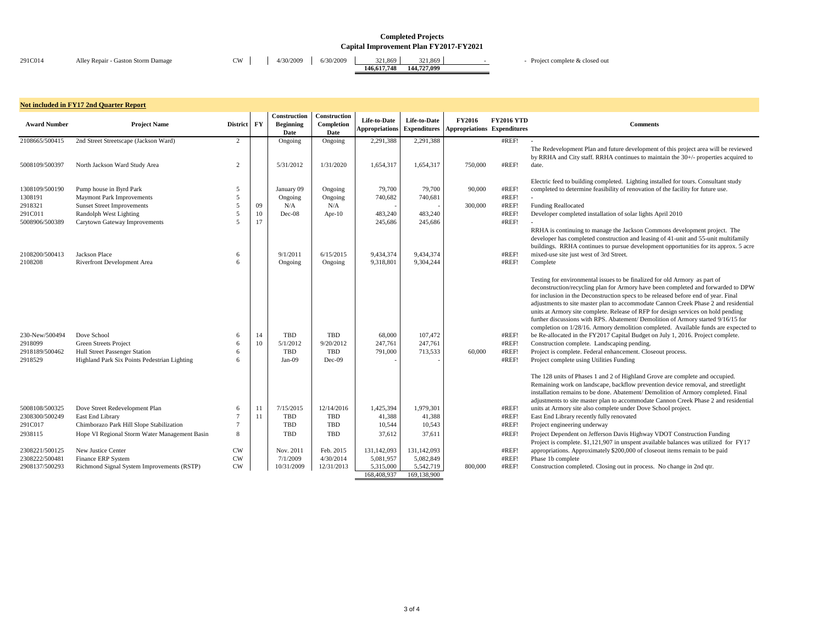| 291C014 | Alley Repair - Gaston Storm Damage | CW | 4/30/2009 | 6/30/2009 | 321,869     | 321.869     | Project complete & closed out |
|---------|------------------------------------|----|-----------|-----------|-------------|-------------|-------------------------------|
|         |                                    |    |           |           | 146.617.748 | 144,727,099 |                               |

#### **Expenditures Comments**

ment Plan and future development of this project area will be reviewed City staff. RRHA continues to maintain the 30+/- properties acquired to

building completed. Lighting installed for tours. Consultant study etermine feasibility of renovation of the facility for future use.

pleted installation of solar lights April 2010

nuing to manage the Jackson Commons development project. The completed construction and leasing of 41-unit and 55-unit multifamily HA continues to pursue development opportunities for its approx. 5 acre just west of 3rd Street.

ironmental issues to be finalized for old Armory as part of recycling plan for Armory have been completed and forwarded to DPW the Deconstruction specs to be released before end of year. Final site master plan to accommodate Cannon Creek Phase 2 and residential is at a complete. Release of RFP for design services on hold pending furtherm discussions with RPS. Abatement/ Demolition of Armory started 9/16/15 for  $1/28/16$ . Armory demolition completed. Available funds are expected to in the FY2017 Capital Budget on July 1, 2016. Project complete. omplete. Landscaping pending.

blete. Federal enhancement. Closeout process.

<sup>2</sup>te using Utilities Funding

of Phases 1 and 2 of Highland Grove are complete and occupied. rk on landscape, backflow prevention device removal, and streetlight hains to be done. Abatement/ Demolition of Armory completed. Final site master plan to accommodate Cannon Creek Phase 2 and residential y site also complete under Dove School project.

ry recently fully renovated

lent on Jefferson Davis Highway VDOT Construction Funding plete.  $$1,121,907$  in unspent available balances was utilized for FY17 Approximately \$200,000 of closeout items remain to be paid

ompleted. Closing out in process. No change in 2nd qtr.

| <b>Award Number</b>              | <b>Not included in FY17 2nd Quarter Report</b><br><b>Project Name</b> | District FY            |               | Construction<br><b>Beginning</b><br>Date | Construction<br>Completion<br><b>Date</b> | Life-to-Date<br><b>Appropriations</b> | Life-to-Date<br><b>Expenditures</b> | <b>FY2016</b><br><b>Appropriations Expenditures</b> | <b>FY2016 YTD</b> |                                                                                                                                                                                                                                      |
|----------------------------------|-----------------------------------------------------------------------|------------------------|---------------|------------------------------------------|-------------------------------------------|---------------------------------------|-------------------------------------|-----------------------------------------------------|-------------------|--------------------------------------------------------------------------------------------------------------------------------------------------------------------------------------------------------------------------------------|
| 2108665/500415                   | 2nd Street Streetscape (Jackson Ward)                                 | 2                      |               | Ongoing                                  | Ongoing                                   | 2,291,388                             | 2,291,388                           |                                                     | #REF!             |                                                                                                                                                                                                                                      |
| 5008109/500397                   | North Jackson Ward Study Area                                         | 2                      |               | 5/31/2012                                | 1/31/2020                                 | 1,654,317                             | 1,654,317                           | 750,000                                             | #REF!             | The Redevelopment Plan and<br>by RRHA and City staff. RRH<br>date.                                                                                                                                                                   |
| 1308109/500190<br>1308191        | Pump house in Byrd Park<br><b>Maymont Park Improvements</b>           | 5<br>5                 |               | January 09<br>Ongoing                    | Ongoing<br>Ongoing                        | 79,700<br>740,682                     | 79,700<br>740,681                   | 90,000                                              | #REF!<br>#REF!    | Electric feed to building comp<br>completed to determine feasil                                                                                                                                                                      |
| 2918321                          | <b>Sunset Street Improvements</b>                                     | 5                      | 09            | N/A                                      | N/A                                       |                                       |                                     | 300,000                                             | #REF!             | <b>Funding Reallocated</b>                                                                                                                                                                                                           |
| 291C011<br>5008906/500389        | <b>Randolph West Lighting</b><br>Carytown Gateway Improvements        | 5                      | 10<br>17      | Dec-08                                   | Apr- $10$                                 | 483,240<br>245,686                    | 483,240<br>245,686                  |                                                     | #REF!<br>#REF!    | Developer completed installat                                                                                                                                                                                                        |
|                                  |                                                                       |                        |               |                                          |                                           |                                       |                                     |                                                     |                   | RRHA is continuing to management<br>developer has completed cons<br>buildings. RRHA continues t                                                                                                                                      |
| 2108200/500413                   | Jackson Place                                                         | 6                      |               | 9/1/2011                                 | 6/15/2015                                 | 9,434,374                             | 9,434,374                           |                                                     | #REF!             | mixed-use site just west of 3rd                                                                                                                                                                                                      |
| 2108208                          | Riverfront Development Area                                           | 6                      |               | Ongoing                                  | Ongoing                                   | 9,318,801                             | 9,304,244                           |                                                     | #REF!             | Complete                                                                                                                                                                                                                             |
|                                  |                                                                       |                        |               |                                          |                                           |                                       |                                     |                                                     |                   | Testing for environmental issu<br>deconstruction/recycling plan<br>for inclusion in the Deconstru<br>adjustments to site master pla<br>units at Armory site complete<br>further discussions with RPS.<br>completion on 1/28/16. Armo |
| 230-New/500494                   | Dove School                                                           | 6                      | 14            | <b>TBD</b>                               | <b>TBD</b>                                | 68,000                                | 107,472                             |                                                     | #REF!             | be Re-allocated in the FY201'                                                                                                                                                                                                        |
| 2918099<br>2918189/500462        | Green Streets Project<br>Hull Street Passenger Station                | 6                      | 10            | 5/1/2012<br><b>TBD</b>                   | 9/20/2012<br><b>TBD</b>                   | 247,761                               | 247,761                             |                                                     | #REF!<br>#REF!    | Construction complete. Land<br>Project is complete. Federal e                                                                                                                                                                        |
| 2918529                          | Highland Park Six Points Pedestrian Lighting                          | 6<br>6                 |               | Jan-09                                   | $Dec-09$                                  | 791,000                               | 713,533                             | 60,000                                              | #REF!             | Project complete using Utiliti                                                                                                                                                                                                       |
|                                  |                                                                       |                        |               |                                          |                                           |                                       |                                     |                                                     |                   | The 128 units of Phases 1 and<br>Remaining work on landscape<br>installation remains to be don<br>adjustments to site master pla                                                                                                     |
| 5008108/500325                   | Dove Street Redevelopment Plan                                        | 6                      | <sup>11</sup> | 7/15/2015                                | 12/14/2016                                | 1,425,394                             | 1,979,301                           |                                                     | #REF!             | units at Armory site also com                                                                                                                                                                                                        |
| 2308300/500249                   | East End Library                                                      |                        | 11            | <b>TBD</b>                               | <b>TBD</b>                                | 41,388                                | 41,388                              |                                                     | #REF!             | East End Library recently full                                                                                                                                                                                                       |
| 291C017                          | Chimborazo Park Hill Slope Stabilization                              |                        |               | <b>TBD</b>                               | <b>TBD</b>                                | 10,544                                | 10,543                              |                                                     | #REF!             | Project engineering underway                                                                                                                                                                                                         |
| 2938115                          | Hope VI Regional Storm Water Management Basin                         | 8                      |               | <b>TBD</b>                               | <b>TBD</b>                                | 37,612                                | 37,611                              |                                                     | #REF!             | Project Dependent on Jefferso<br>Project is complete. \$1,121,90                                                                                                                                                                     |
| 2308221/500125<br>2308222/500481 | New Justice Center<br>Finance ERP System                              | <b>CW</b><br><b>CW</b> |               | Nov. 2011<br>7/1/2009                    | Feb. 2015<br>4/30/2014                    | 131,142,093<br>5,081,957              | 131,142,093<br>5,082,849            |                                                     | #REF!<br>#REF!    | appropriations. Approximatel<br>Phase 1b complete                                                                                                                                                                                    |
| 2908137/500293                   | Richmond Signal System Improvements (RSTP)                            | <b>CW</b>              |               | 10/31/2009                               | 12/31/2013                                | 5,315,000                             | 5,542,719                           | 800,000                                             | #REF!             | Construction completed. Clos                                                                                                                                                                                                         |
|                                  |                                                                       |                        |               |                                          |                                           | 168,408,937                           | 169,138,900                         |                                                     |                   |                                                                                                                                                                                                                                      |